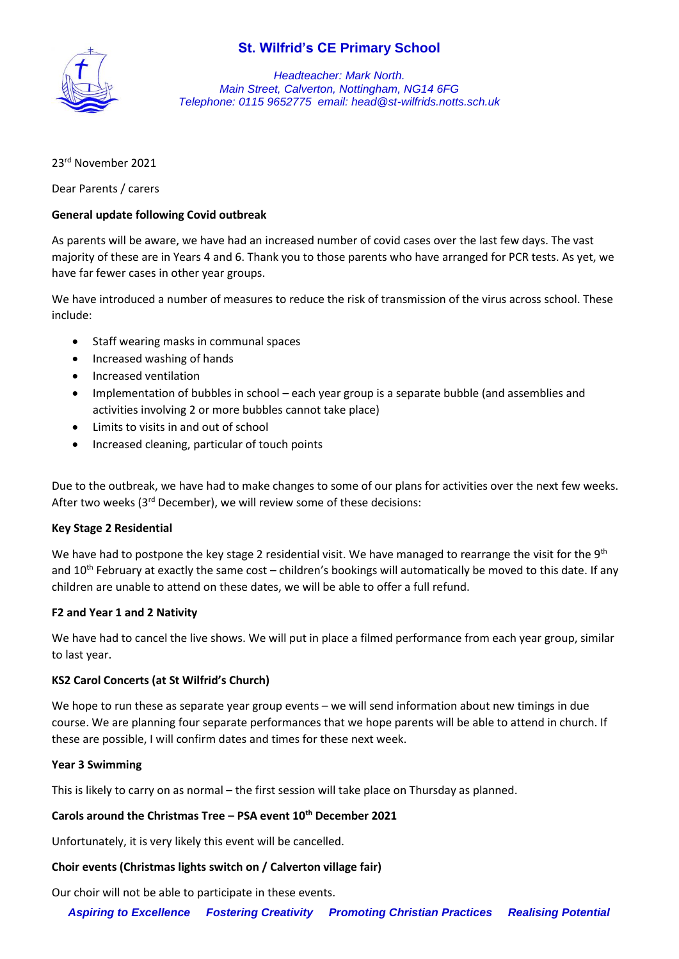

*Headteacher: Mark North. Main Street, Calverton, Nottingham, NG14 6FG Telephone: 0115 9652775 email: head@st-wilfrids.notts.sch.uk*

## 23rd November 2021

Dear Parents / carers

#### **General update following Covid outbreak**

As parents will be aware, we have had an increased number of covid cases over the last few days. The vast majority of these are in Years 4 and 6. Thank you to those parents who have arranged for PCR tests. As yet, we have far fewer cases in other year groups.

We have introduced a number of measures to reduce the risk of transmission of the virus across school. These include:

- Staff wearing masks in communal spaces
- Increased washing of hands
- Increased ventilation
- Implementation of bubbles in school each year group is a separate bubble (and assemblies and activities involving 2 or more bubbles cannot take place)
- Limits to visits in and out of school
- Increased cleaning, particular of touch points

Due to the outbreak, we have had to make changes to some of our plans for activities over the next few weeks. After two weeks (3<sup>rd</sup> December), we will review some of these decisions:

#### **Key Stage 2 Residential**

We have had to postpone the key stage 2 residential visit. We have managed to rearrange the visit for the 9<sup>th</sup> and 10<sup>th</sup> February at exactly the same cost – children's bookings will automatically be moved to this date. If any children are unable to attend on these dates, we will be able to offer a full refund.

#### **F2 and Year 1 and 2 Nativity**

We have had to cancel the live shows. We will put in place a filmed performance from each year group, similar to last year.

## **KS2 Carol Concerts (at St Wilfrid's Church)**

We hope to run these as separate year group events – we will send information about new timings in due course. We are planning four separate performances that we hope parents will be able to attend in church. If these are possible, I will confirm dates and times for these next week.

#### **Year 3 Swimming**

This is likely to carry on as normal – the first session will take place on Thursday as planned.

#### **Carols around the Christmas Tree – PSA event 10th December 2021**

Unfortunately, it is very likely this event will be cancelled.

#### **Choir events (Christmas lights switch on / Calverton village fair)**

Our choir will not be able to participate in these events.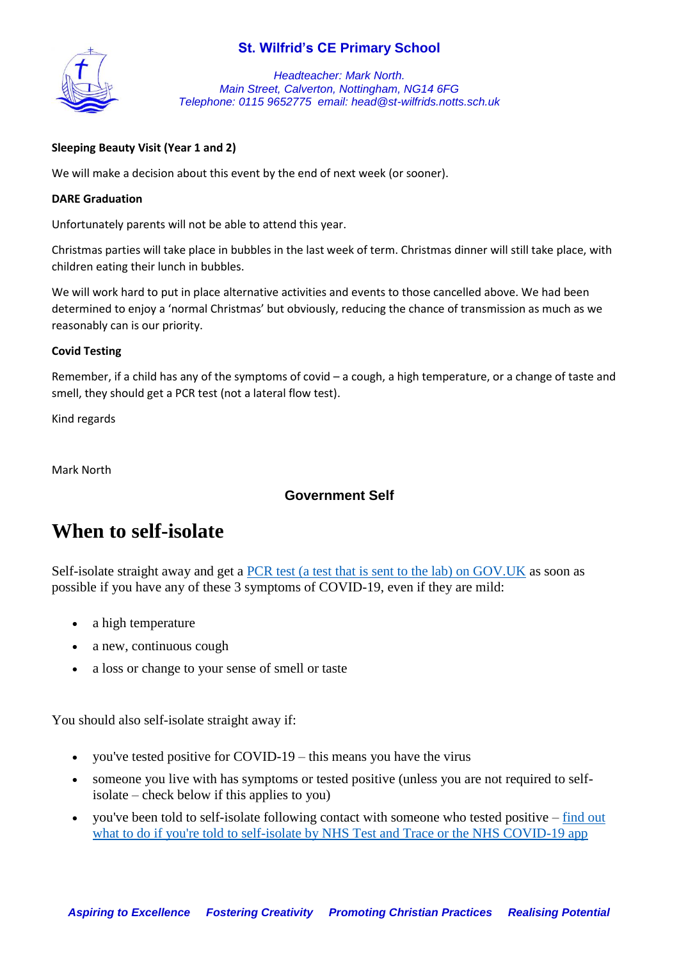

*Headteacher: Mark North. Main Street, Calverton, Nottingham, NG14 6FG Telephone: 0115 9652775 email: head@st-wilfrids.notts.sch.uk*

## **Sleeping Beauty Visit (Year 1 and 2)**

We will make a decision about this event by the end of next week (or sooner).

#### **DARE Graduation**

Unfortunately parents will not be able to attend this year.

Christmas parties will take place in bubbles in the last week of term. Christmas dinner will still take place, with children eating their lunch in bubbles.

We will work hard to put in place alternative activities and events to those cancelled above. We had been determined to enjoy a 'normal Christmas' but obviously, reducing the chance of transmission as much as we reasonably can is our priority.

#### **Covid Testing**

Remember, if a child has any of the symptoms of covid – a cough, a high temperature, or a change of taste and smell, they should get a PCR test (not a lateral flow test).

Kind regards

Mark North

## **Government Self**

## **When to self-isolate**

Self-isolate straight away and get a [PCR test \(a test that is sent to the lab\) on GOV.UK](https://www.gov.uk/get-coronavirus-test) as soon as possible if you have any of these 3 symptoms of COVID-19, even if they are mild:

- a high temperature
- a new, continuous cough
- a loss or change to your sense of smell or taste

You should also self-isolate straight away if:

- you've tested positive for COVID-19 this means you have the virus
- someone you live with has symptoms or tested positive (unless you are not required to selfisolate – check below if this applies to you)
- you've been told to self-isolate following contact with someone who tested positive [find out](https://www.nhs.uk/conditions/coronavirus-covid-19/self-isolation-and-treatment/if-youre-told-to-self-isolate-by-nhs-test-and-trace-or-the-covid-19-app/)  [what to do if you're told to self-isolate by NHS Test and Trace or the NHS COVID-19 app](https://www.nhs.uk/conditions/coronavirus-covid-19/self-isolation-and-treatment/if-youre-told-to-self-isolate-by-nhs-test-and-trace-or-the-covid-19-app/)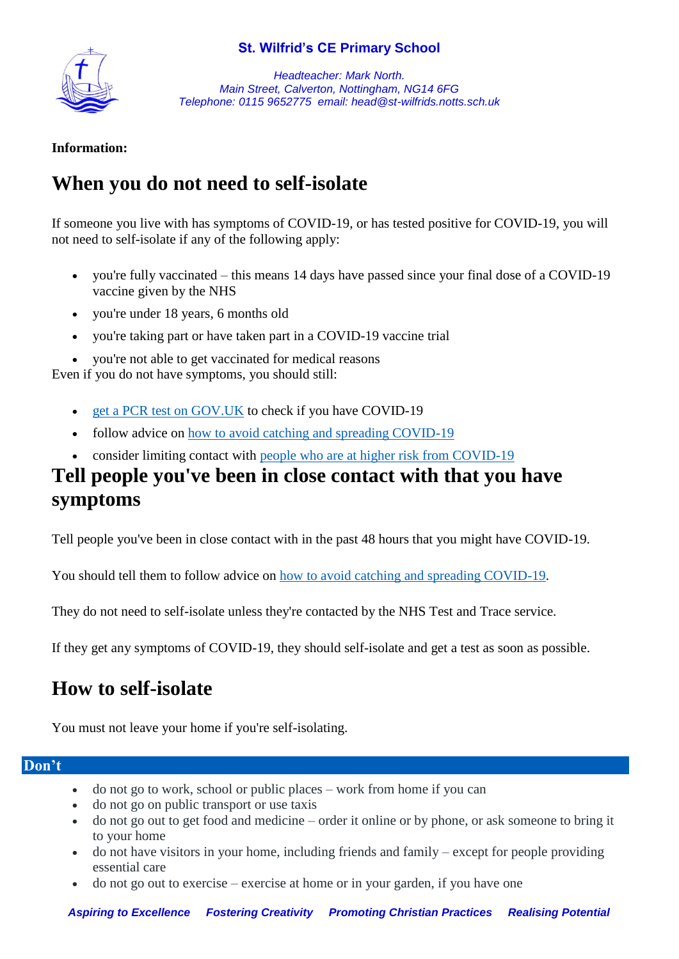

*Headteacher: Mark North. Main Street, Calverton, Nottingham, NG14 6FG Telephone: 0115 9652775 email: head@st-wilfrids.notts.sch.uk*

## **Information:**

# **When you do not need to self-isolate**

If someone you live with has symptoms of COVID-19, or has tested positive for COVID-19, you will not need to self-isolate if any of the following apply:

- you're fully vaccinated this means 14 days have passed since your final dose of a COVID-19 vaccine given by the NHS
- you're under 18 years, 6 months old
- you're taking part or have taken part in a COVID-19 vaccine trial
- vou're not able to get vaccinated for medical reasons

Even if you do not have symptoms, you should still:

- [get a PCR test on GOV.UK](https://www.gov.uk/get-coronavirus-test) to check if you have COVID-19
- follow advice on [how to avoid catching and spreading COVID-19](https://www.nhs.uk/conditions/coronavirus-covid-19/how-to-avoid-catching-and-spreading-coronavirus-covid-19/)
- consider limiting contact with [people who are at higher risk from COVID-19](https://www.nhs.uk/conditions/coronavirus-covid-19/people-at-higher-risk/)

## **Tell people you've been in close contact with that you have symptoms**

Tell people you've been in close contact with in the past 48 hours that you might have COVID-19.

You should tell them to follow advice on [how to avoid catching and spreading COVID-19.](https://www.nhs.uk/conditions/coronavirus-covid-19/how-to-avoid-catching-and-spreading-coronavirus-covid-19/)

They do not need to self-isolate unless they're contacted by the NHS Test and Trace service.

If they get any symptoms of COVID-19, they should self-isolate and get a test as soon as possible.

# **How to self-isolate**

You must not leave your home if you're self-isolating.

## **Don't**

- do not go to work, school or public places work from home if you can
- do not go on public transport or use taxis
- do not go out to get food and medicine order it online or by phone, or ask someone to bring it to your home
- do not have visitors in your home, including friends and family except for people providing essential care
- do not go out to exercise exercise at home or in your garden, if you have one